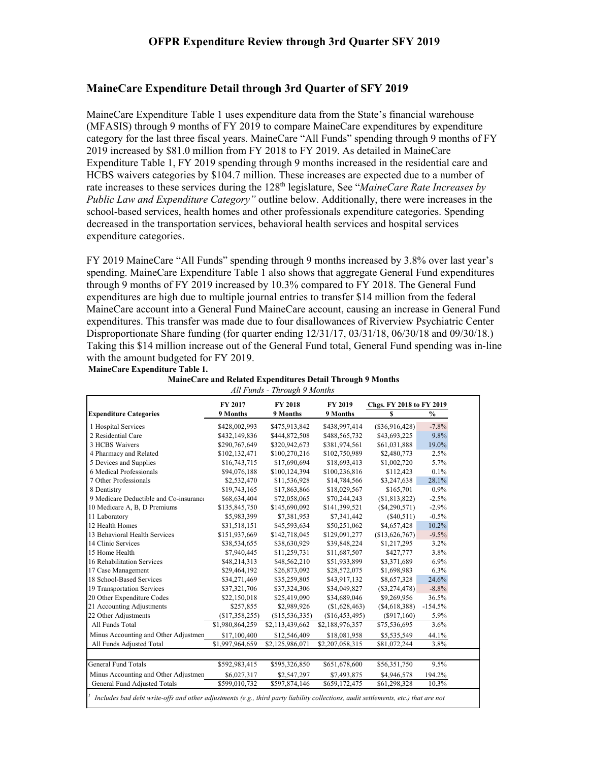### **MaineCare Expenditure Detail through 3rd Quarter of SFY 2019**

MaineCare Expenditure Table 1 uses expenditure data from the State's financial warehouse (MFASIS) through 9 months of FY 2019 to compare MaineCare expenditures by expenditure category for the last three fiscal years. MaineCare "All Funds" spending through 9 months of FY 2019 increased by \$81.0 million from FY 2018 to FY 2019. As detailed in MaineCare Expenditure Table 1, FY 2019 spending through 9 months increased in the residential care and HCBS waivers categories by \$104.7 million. These increases are expected due to a number of rate increases to these services during the 128<sup>th</sup> legislature, See "*MaineCare Rate Increases by Public Law and Expenditure Category"* outline below. Additionally, there were increases in the school-based services, health homes and other professionals expenditure categories. Spending decreased in the transportation services, behavioral health services and hospital services expenditure categories.

FY 2019 MaineCare "All Funds" spending through 9 months increased by 3.8% over last year's spending. MaineCare Expenditure Table 1 also shows that aggregate General Fund expenditures through 9 months of FY 2019 increased by 10.3% compared to FY 2018. The General Fund expenditures are high due to multiple journal entries to transfer \$14 million from the federal MaineCare account into a General Fund MaineCare account, causing an increase in General Fund expenditures. This transfer was made due to four disallowances of Riverview Psychiatric Center Disproportionate Share funding (for quarter ending  $12/31/17$ ,  $03/31/18$ ,  $06/30/18$  and  $09/30/18$ .) Taking this \$14 million increase out of the General Fund total, General Fund spending was in-line with the amount budgeted for FY 2019.

**MaineCare Expenditure Table 1.**

|                                        | FY 2017         | <b>FY 2018</b>  | FY 2019         | Chgs. FY 2018 to FY 2019 |               |  |
|----------------------------------------|-----------------|-----------------|-----------------|--------------------------|---------------|--|
| <b>Expenditure Categories</b>          | 9 Months        | 9 Months        | 9 Months        | S                        | $\frac{0}{0}$ |  |
| 1 Hospital Services                    | \$428,002,993   | \$475,913,842   | \$438,997,414   | $(\$36,916,428)$         | $-7.8%$       |  |
| 2 Residential Care                     | \$432,149,836   | \$444,872,508   | \$488,565,732   | \$43,693,225             | 9.8%          |  |
| 3 HCBS Waivers                         | \$290,767,649   | \$320,942,673   | \$381,974,561   | \$61,031,888             | 19.0%         |  |
| 4 Pharmacy and Related                 | \$102,132,471   | \$100,270,216   | \$102,750,989   | \$2,480,773              | 2.5%          |  |
| 5 Devices and Supplies                 | \$16,743,715    | \$17,690,694    | \$18,693,413    | \$1,002,720              | 5.7%          |  |
| 6 Medical Professionals                | \$94,076,188    | \$100,124,394   | \$100,236,816   | \$112,423                | 0.1%          |  |
| 7 Other Professionals                  | \$2,532,470     | \$11,536,928    | \$14,784,566    | \$3,247,638              | 28.1%         |  |
| 8 Dentistry                            | \$19,743,165    | \$17,863,866    | \$18,029,567    | \$165,701                | $0.9\%$       |  |
| 9 Medicare Deductible and Co-insurance | \$68,634,404    | \$72,058,065    | \$70,244,243    | (\$1,813,822)            | $-2.5%$       |  |
| 10 Medicare A, B, D Premiums           | \$135,845,750   | \$145,690,092   | \$141,399,521   | (S4, 290, 571)           | $-2.9%$       |  |
| 11 Laboratory                          | \$5,983,399     | \$7,381,953     | \$7,341,442     | (\$40,511)               | $-0.5%$       |  |
| 12 Health Homes                        | \$31,518,151    | \$45,593,634    | \$50,251,062    | \$4,657,428              | 10.2%         |  |
| 13 Behavioral Health Services          | \$151,937,669   | \$142,718,045   | \$129,091,277   | (\$13,626,767)           | $-9.5%$       |  |
| 14 Clinic Services                     | \$38,534,655    | \$38,630,929    | \$39,848,224    | \$1,217,295              | 3.2%          |  |
| 15 Home Health                         | \$7,940,445     | \$11,259,731    | \$11,687,507    | \$427,777                | 3.8%          |  |
| 16 Rehabilitation Services             | \$48,214,313    | \$48,562,210    | \$51,933,899    | \$3,371,689              | 6.9%          |  |
| 17 Case Management                     | \$29,464,192    | \$26,873,092    | \$28,572,075    | \$1,698,983              | 6.3%          |  |
| 18 School-Based Services               | \$34,271,469    | \$35,259,805    | \$43,917,132    | \$8,657,328              | 24.6%         |  |
| 19 Transportation Services             | \$37,321,706    | \$37,324,306    | \$34,049,827    | $(\$3,274,478)$          | $-8.8%$       |  |
| 20 Other Expenditure Codes             | \$22,150,018    | \$25,419,090    | \$34,689,046    | \$9,269,956              | 36.5%         |  |
| 21 Accounting Adjustments              | \$257,855       | \$2,989,926     | (S1,628,463)    | (S4, 618, 388)           | $-154.5%$     |  |
| 22 Other Adjustments                   | (\$17,358,255)  | (\$15,536,335)  | (\$16,453,495)  | $(\$917,160)$            | 5.9%          |  |
| All Funds Total                        | \$1,980,864,259 | \$2,113,439,662 | \$2,188,976,357 | \$75,536,695             | 3.6%          |  |
| Minus Accounting and Other Adjustmen   | \$17,100,400    | \$12,546,409    | \$18,081,958    | \$5,535,549              | 44.1%         |  |
| All Funds Adjusted Total               | \$1,997,964,659 | \$2,125,986,071 | \$2,207,058,315 | \$81,072,244             | 3.8%          |  |
| <b>General Fund Totals</b>             | \$592,983,415   | \$595,326,850   | \$651,678,600   | \$56,351,750             | 9.5%          |  |
| Minus Accounting and Other Adjustmen   | \$6,027,317     | \$2,547,297     | \$7,493,875     | \$4,946,578              | 194.2%        |  |
| General Fund Adjusted Totals           | \$599,010,732   | \$597,874,146   | \$659,172,475   | \$61,298,328             | 10.3%         |  |

**MaineCare and Related Expenditures Detail Through 9 Months**